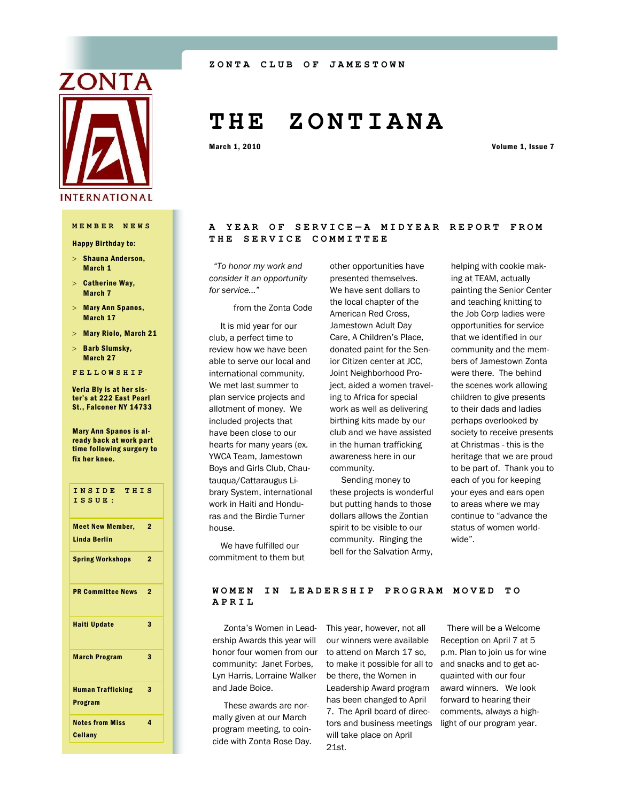

## **MEMBER NEWS**

Happy Birthday to:

- $>$  Shauna Anderson, March 1
- $>$  Catherine Way, March 7
- Mary Ann Spanos, March 17
- Mary Riolo, March 21
- $>$  Barb Slumsky, March 27
- **FELLOWSHIP**

Verla Bly is at her sister's at 222 East Pearl St., Falconer NY 14733

Mary Ann Spanos is already back at work part time following surgery to fix her knee.

| INSIDE THIS<br>ISSUE:                          |                |
|------------------------------------------------|----------------|
| <b>Meet New Member,</b><br><b>Linda Berlin</b> | $\overline{2}$ |
| <b>Spring Workshops</b>                        | $\overline{2}$ |
| <b>PR Committee News</b>                       | 2              |
| <b>Haiti Update</b>                            | 3              |
| <b>March Program</b>                           | 3              |
| <b>Human Trafficking</b><br><b>Program</b>     | 3              |
| <b>Notes from Miss</b><br><b>Cellany</b>       | 4              |

# **T H E Z O N T I A N A**

March 1, 2010 **Volume 1, Issue 7** 

## **A YEAR OF SERVICE — A M I D Y E A R R E P O R T F R O M THE SERVICE COMMITTEE**

 *"To honor my work and consider it an opportunity for service..."*

## from the Zonta Code

 It is mid year for our club, a perfect time to review how we have been able to serve our local and international community. We met last summer to plan service projects and allotment of money. We included projects that have been close to our hearts for many years (ex. YWCA Team, Jamestown Boys and Girls Club, Chautauqua/Cattaraugus Library System, international work in Haiti and Honduras and the Birdie Turner house.

other opportunities have presented themselves. We have sent dollars to the local chapter of the American Red Cross, Jamestown Adult Day Care, A Children's Place, donated paint for the Senior Citizen center at JCC, Joint Neighborhood Project, aided a women traveling to Africa for special work as well as delivering birthing kits made by our club and we have assisted in the human trafficking awareness here in our community.

 Sending money to these projects is wonderful but putting hands to those dollars allows the Zontian spirit to be visible to our community. Ringing the bell for the Salvation Army,

helping with cookie making at TEAM, actually painting the Senior Center and teaching knitting to the Job Corp ladies were opportunities for service that we identified in our community and the members of Jamestown Zonta were there. The behind the scenes work allowing children to give presents to their dads and ladies perhaps overlooked by society to receive presents at Christmas - this is the heritage that we are proud to be part of. Thank you to each of you for keeping your eyes and ears open to areas where we may continue to "advance the status of women worldwide".

 We have fulfilled our commitment to them but

## WOMEN IN LEADERSHIP PROGRAM MOVED TO **APRIL**

 Zonta's Women in Leadership Awards this year will honor four women from our community: Janet Forbes, Lyn Harris, Lorraine Walker and Jade Boice.

 These awards are normally given at our March program meeting, to coincide with Zonta Rose Day.

This year, however, not all our winners were available to attend on March 17 so, to make it possible for all to and snacks and to get acbe there, the Women in Leadership Award program has been changed to April 7. The April board of directors and business meetings will take place on April 21st.

 There will be a Welcome Reception on April 7 at 5 p.m. Plan to join us for wine quainted with our four award winners. We look forward to hearing their comments, always a highlight of our program year.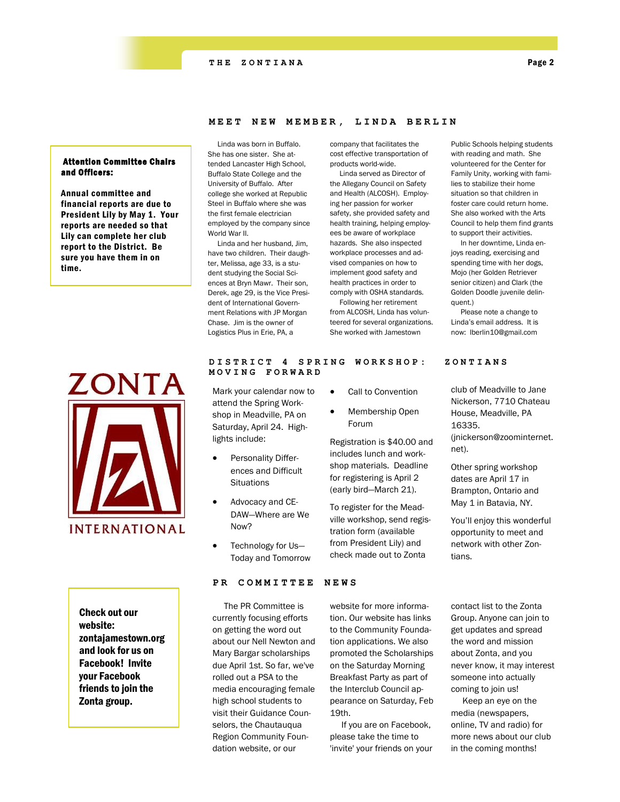## **MEET NEW MEMBER, LINDA BERLIN**

## Attention Committee Chairs and Officers:

Annual committee and financial reports are due to President Lily by May 1. Your reports are needed so that Lily can complete her club report to the District. Be sure you have them in on time.



Check out our website: zontajamestown.org and look for us on Facebook! Invite your Facebook friends to join the Zonta group.

### Linda was born in Buffalo. She has one sister. She attended Lancaster High School, Buffalo State College and the University of Buffalo. After college she worked at Republic Steel in Buffalo where she was the first female electrician employed by the company since World War II.

 Linda and her husband, Jim, have two children. Their daughter, Melissa, age 33, is a student studying the Social Sciences at Bryn Mawr. Their son, Derek, age 29, is the Vice President of International Government Relations with JP Morgan Chase. Jim is the owner of Logistics Plus in Erie, PA, a

Mark your calendar now to attend the Spring Workshop in Meadville, PA on Saturday, April 24. High-

> Personality Differences and Difficult

 Advocacy and CE-DAW—Where are We

 Technology for Us— Today and Tomorrow

**Situations** 

Now?

lights include:

company that facilitates the cost effective transportation of products world-wide.

 Linda served as Director of the Allegany Council on Safety and Health (ALCOSH). Employing her passion for worker safety, she provided safety and health training, helping employees be aware of workplace hazards. She also inspected workplace processes and advised companies on how to implement good safety and health practices in order to comply with OSHA standards.

 Following her retirement from ALCOSH, Linda has volunteered for several organizations. She worked with Jamestown

Public Schools helping students with reading and math. She volunteered for the Center for Family Unity, working with families to stabilize their home situation so that children in foster care could return home. She also worked with the Arts Council to help them find grants to support their activities.

 In her downtime, Linda enjoys reading, exercising and spending time with her dogs, Mojo (her Golden Retriever senior citizen) and Clark (the Golden Doodle juvenile delinquent.)

 Please note a change to Linda's email address. It is now: lberlin10@gmail.com

club of Meadville to Jane Nickerson, 7710 Chateau House, Meadville, PA 16335. (jnickerson@zoominternet. net).

Other spring workshop dates are April 17 in Brampton, Ontario and May 1 in Batavia, NY.

You'll enjoy this wonderful opportunity to meet and network with other Zontians.

website for more information. Our website has links to the Community Foundation applications. We also promoted the Scholarships on the Saturday Morning Breakfast Party as part of the Interclub Council appearance on Saturday, Feb

 If you are on Facebook, please take the time to 'invite' your friends on your

19th.

contact list to the Zonta Group. Anyone can join to get updates and spread the word and mission about Zonta, and you never know, it may interest someone into actually coming to join us!

 Keep an eye on the media (newspapers, online, TV and radio) for more news about our club in the coming months!

## **DISTRICT 4 SPRING WO R K S H O P : Z O N T I A N S MOVING FORWARD**

Call to Convention

 Membership Open Forum

Registration is \$40.00 and includes lunch and workshop materials. Deadline for registering is April 2 (early bird—March 21).

To register for the Meadville workshop, send registration form (available from President Lily) and check made out to Zonta

## **PR COMMITTEE NEWS**

 The PR Committee is currently focusing efforts on getting the word out about our Nell Newton and Mary Bargar scholarships due April 1st. So far, we've rolled out a PSA to the media encouraging female high school students to visit their Guidance Counselors, the Chautauqua Region Community Foundation website, or our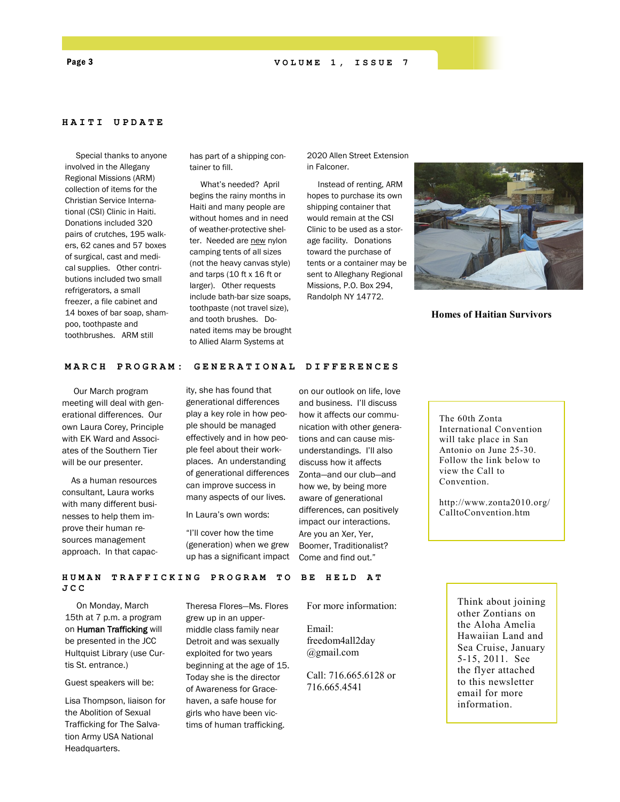## **HAITI U P D A T E**

 Special thanks to anyone involved in the Allegany Regional Missions (ARM) collection of items for the Christian Service International (CSI) Clinic in Haiti. Donations included 320 pairs of crutches, 195 walkers, 62 canes and 57 boxes of surgical, cast and medical supplies. Other contributions included two small refrigerators, a small freezer, a file cabinet and 14 boxes of bar soap, shampoo, toothpaste and toothbrushes. ARM still

has part of a shipping container to fill.

 What's needed? April begins the rainy months in Haiti and many people are without homes and in need of weather-protective shelter. Needed are new nylon camping tents of all sizes (not the heavy canvas style) and tarps (10 ft x 16 ft or larger). Other requests include bath-bar size soaps, toothpaste (not travel size), and tooth brushes. Donated items may be brought to Allied Alarm Systems at

2020 Allen Street Extension in Falconer.

 Instead of renting, ARM hopes to purchase its own shipping container that would remain at the CSI Clinic to be used as a storage facility. Donations toward the purchase of tents or a container may be sent to Alleghany Regional Missions, P.O. Box 294, Randolph NY 14772.



**Homes of Haitian Survivors**

## **MARCH PROGRAM: GENERATIONAL DIFFERENCES**

 Our March program meeting will deal with generational differences. Our own Laura Corey, Principle with EK Ward and Associates of the Southern Tier will be our presenter.

 As a human resources consultant, Laura works with many different businesses to help them improve their human resources management approach. In that capacity, she has found that generational differences play a key role in how people should be managed effectively and in how people feel about their workplaces. An understanding of generational differences can improve success in many aspects of our lives.

In Laura's own words:

"I'll cover how the time (generation) when we grew up has a significant impact

on our outlook on life, love and business. I'll discuss how it affects our communication with other generations and can cause misunderstandings. I'll also discuss how it affects Zonta—and our club—and how we, by being more aware of generational differences, can positively impact our interactions. Are you an Xer, Yer, Boomer, Traditionalist? Come and find out."

The 60th Zonta International Convention will take place in San Antonio on June 25-30. Follow the link below to view the Call to Convention.

http://www.zonta2010.org/ CalltoConvention.htm

**HUMAN TRAFFICKING PR O G R A M T O B E H E L D A T JCC**

 On Monday, March 15th at 7 p.m. a program on Human Trafficking will be presented in the JCC Hultquist Library (use Curtis St. entrance.)

Guest speakers will be:

Lisa Thompson, liaison for the Abolition of Sexual Trafficking for The Salvation Army USA National Headquarters.

Theresa Flores—Ms. Flores grew up in an uppermiddle class family near Detroit and was sexually exploited for two years beginning at the age of 15. Today she is the director of Awareness for Gracehaven, a safe house for girls who have been victims of human trafficking.

For more information:

Email: freedom4all2day @gmail.com

Call: 716.665.6128 or 716.665.4541

Think about joining other Zontians on the Aloha Amelia Hawaiian Land and Sea Cruise, January 5-15, 2011. See the flyer attached to this newsletter email for more information.